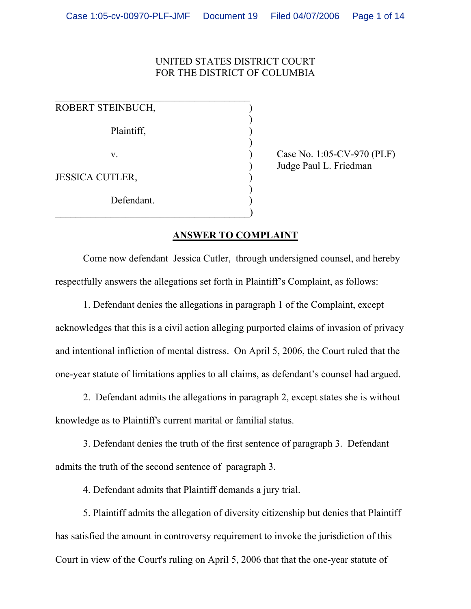# UNITED STATES DISTRICT COURT FOR THE DISTRICT OF COLUMBIA

| ROBERT STEINBUCH,      |  |
|------------------------|--|
| Plaintiff,             |  |
| V.                     |  |
| <b>JESSICA CUTLER,</b> |  |
| Defendant.             |  |

Case No. 1:05-CV-970 (PLF) ) Judge Paul L. Friedman

# **ANSWER TO COMPLAINT**

Come now defendant Jessica Cutler, through undersigned counsel, and hereby respectfully answers the allegations set forth in Plaintiff's Complaint, as follows:

1. Defendant denies the allegations in paragraph 1 of the Complaint, except acknowledges that this is a civil action alleging purported claims of invasion of privacy and intentional infliction of mental distress. On April 5, 2006, the Court ruled that the one-year statute of limitations applies to all claims, as defendant's counsel had argued.

2. Defendant admits the allegations in paragraph 2, except states she is without knowledge as to Plaintiff's current marital or familial status.

 3. Defendant denies the truth of the first sentence of paragraph 3. Defendant admits the truth of the second sentence of paragraph 3.

4. Defendant admits that Plaintiff demands a jury trial.

5. Plaintiff admits the allegation of diversity citizenship but denies that Plaintiff has satisfied the amount in controversy requirement to invoke the jurisdiction of this Court in view of the Court's ruling on April 5, 2006 that that the one-year statute of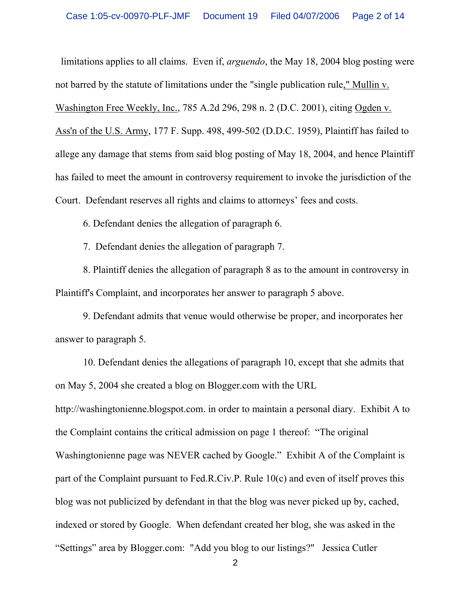limitations applies to all claims. Even if, *arguendo*, the May 18, 2004 blog posting were not barred by the statute of limitations under the "single publication rule," Mullin v. Washington Free Weekly, Inc., 785 A.2d 296, 298 n. 2 (D.C. 2001), citing Ogden v. Ass'n of the U.S. Army, 177 F. Supp. 498, 499-502 (D.D.C. 1959), Plaintiff has failed to allege any damage that stems from said blog posting of May 18, 2004, and hence Plaintiff has failed to meet the amount in controversy requirement to invoke the jurisdiction of the Court. Defendant reserves all rights and claims to attorneys' fees and costs.

6. Defendant denies the allegation of paragraph 6.

7. Defendant denies the allegation of paragraph 7.

8. Plaintiff denies the allegation of paragraph 8 as to the amount in controversy in Plaintiff's Complaint, and incorporates her answer to paragraph 5 above.

9. Defendant admits that venue would otherwise be proper, and incorporates her answer to paragraph 5.

10. Defendant denies the allegations of paragraph 10, except that she admits that on May 5, 2004 she created a blog on Blogger.com with the URL

http://washingtonienne.blogspot.com. in order to maintain a personal diary. Exhibit A to the Complaint contains the critical admission on page 1 thereof: "The original Washingtonienne page was NEVER cached by Google." Exhibit A of the Complaint is part of the Complaint pursuant to Fed.R.Civ.P. Rule 10(c) and even of itself proves this blog was not publicized by defendant in that the blog was never picked up by, cached, indexed or stored by Google. When defendant created her blog, she was asked in the "Settings" area by Blogger.com: "Add you blog to our listings?" Jessica Cutler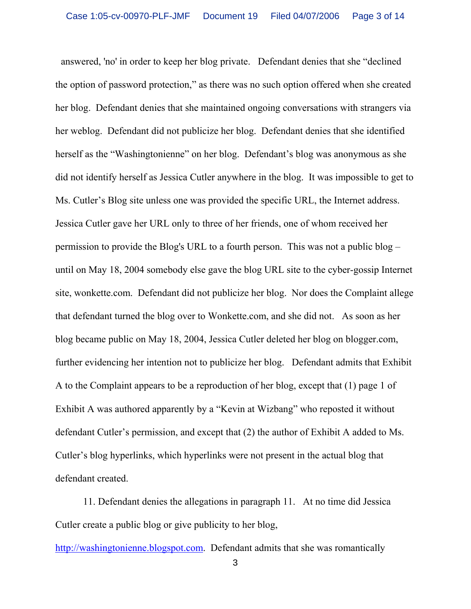answered, 'no' in order to keep her blog private. Defendant denies that she "declined the option of password protection," as there was no such option offered when she created her blog. Defendant denies that she maintained ongoing conversations with strangers via her weblog. Defendant did not publicize her blog. Defendant denies that she identified herself as the "Washingtonienne" on her blog. Defendant's blog was anonymous as she did not identify herself as Jessica Cutler anywhere in the blog. It was impossible to get to Ms. Cutler's Blog site unless one was provided the specific URL, the Internet address. Jessica Cutler gave her URL only to three of her friends, one of whom received her permission to provide the Blog's URL to a fourth person. This was not a public blog – until on May 18, 2004 somebody else gave the blog URL site to the cyber-gossip Internet site, wonkette.com. Defendant did not publicize her blog. Nor does the Complaint allege that defendant turned the blog over to Wonkette.com, and she did not. As soon as her blog became public on May 18, 2004, Jessica Cutler deleted her blog on blogger.com, further evidencing her intention not to publicize her blog. Defendant admits that Exhibit A to the Complaint appears to be a reproduction of her blog, except that (1) page 1 of Exhibit A was authored apparently by a "Kevin at Wizbang" who reposted it without defendant Cutler's permission, and except that (2) the author of Exhibit A added to Ms. Cutler's blog hyperlinks, which hyperlinks were not present in the actual blog that defendant created.

11. Defendant denies the allegations in paragraph 11. At no time did Jessica Cutler create a public blog or give publicity to her blog,

[http://washingtonienne.blogspot.com](http://washingtonienne.blogspot.com/). Defendant admits that she was romantically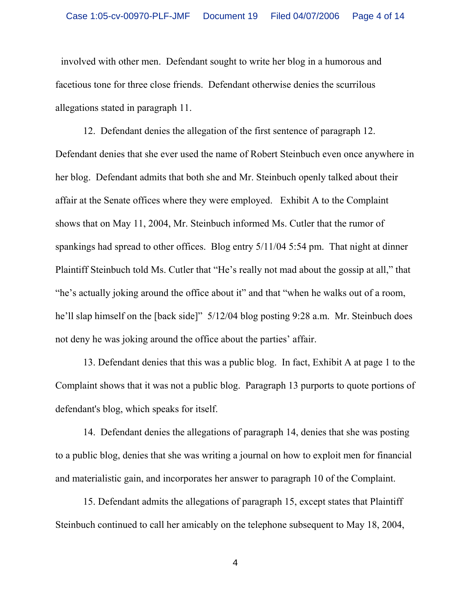involved with other men. Defendant sought to write her blog in a humorous and facetious tone for three close friends. Defendant otherwise denies the scurrilous allegations stated in paragraph 11.

12. Defendant denies the allegation of the first sentence of paragraph 12. Defendant denies that she ever used the name of Robert Steinbuch even once anywhere in her blog. Defendant admits that both she and Mr. Steinbuch openly talked about their affair at the Senate offices where they were employed. Exhibit A to the Complaint shows that on May 11, 2004, Mr. Steinbuch informed Ms. Cutler that the rumor of spankings had spread to other offices. Blog entry 5/11/04 5:54 pm. That night at dinner Plaintiff Steinbuch told Ms. Cutler that "He's really not mad about the gossip at all," that "he's actually joking around the office about it" and that "when he walks out of a room, he'll slap himself on the [back side]"  $5/12/04$  blog posting 9:28 a.m. Mr. Steinbuch does not deny he was joking around the office about the parties' affair.

13. Defendant denies that this was a public blog. In fact, Exhibit A at page 1 to the Complaint shows that it was not a public blog. Paragraph 13 purports to quote portions of defendant's blog, which speaks for itself.

14. Defendant denies the allegations of paragraph 14, denies that she was posting to a public blog, denies that she was writing a journal on how to exploit men for financial and materialistic gain, and incorporates her answer to paragraph 10 of the Complaint.

15. Defendant admits the allegations of paragraph 15, except states that Plaintiff Steinbuch continued to call her amicably on the telephone subsequent to May 18, 2004,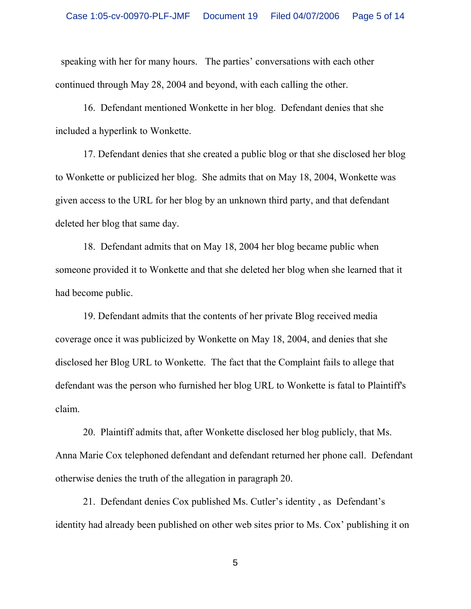speaking with her for many hours. The parties' conversations with each other continued through May 28, 2004 and beyond, with each calling the other.

16. Defendant mentioned Wonkette in her blog. Defendant denies that she included a hyperlink to Wonkette.

17. Defendant denies that she created a public blog or that she disclosed her blog to Wonkette or publicized her blog. She admits that on May 18, 2004, Wonkette was given access to the URL for her blog by an unknown third party, and that defendant deleted her blog that same day.

18. Defendant admits that on May 18, 2004 her blog became public when someone provided it to Wonkette and that she deleted her blog when she learned that it had become public.

19. Defendant admits that the contents of her private Blog received media coverage once it was publicized by Wonkette on May 18, 2004, and denies that she disclosed her Blog URL to Wonkette. The fact that the Complaint fails to allege that defendant was the person who furnished her blog URL to Wonkette is fatal to Plaintiff's claim.

20. Plaintiff admits that, after Wonkette disclosed her blog publicly, that Ms. Anna Marie Cox telephoned defendant and defendant returned her phone call. Defendant otherwise denies the truth of the allegation in paragraph 20.

21. Defendant denies Cox published Ms. Cutler's identity , as Defendant's identity had already been published on other web sites prior to Ms. Cox' publishing it on

 $\sim$  5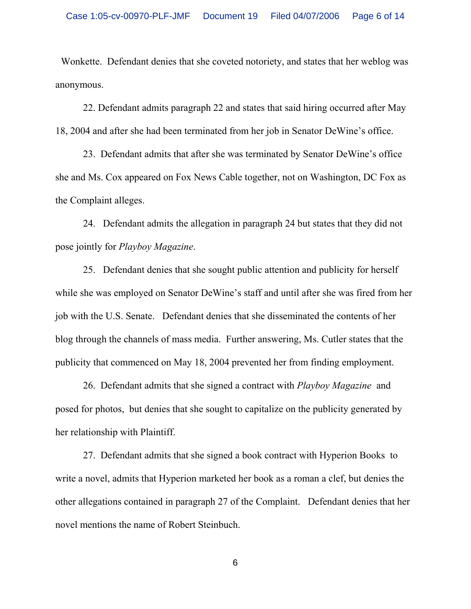Wonkette. Defendant denies that she coveted notoriety, and states that her weblog was anonymous.

22. Defendant admits paragraph 22 and states that said hiring occurred after May 18, 2004 and after she had been terminated from her job in Senator DeWine's office.

23. Defendant admits that after she was terminated by Senator DeWine's office she and Ms. Cox appeared on Fox News Cable together, not on Washington, DC Fox as the Complaint alleges.

24. Defendant admits the allegation in paragraph 24 but states that they did not pose jointly for *Playboy Magazine*.

25. Defendant denies that she sought public attention and publicity for herself while she was employed on Senator DeWine's staff and until after she was fired from her job with the U.S. Senate. Defendant denies that she disseminated the contents of her blog through the channels of mass media. Further answering, Ms. Cutler states that the publicity that commenced on May 18, 2004 prevented her from finding employment.

26. Defendant admits that she signed a contract with *Playboy Magazine* and posed for photos, but denies that she sought to capitalize on the publicity generated by her relationship with Plaintiff.

27. Defendant admits that she signed a book contract with Hyperion Books to write a novel, admits that Hyperion marketed her book as a roman a clef, but denies the other allegations contained in paragraph 27 of the Complaint. Defendant denies that her novel mentions the name of Robert Steinbuch.

 $\sim$  6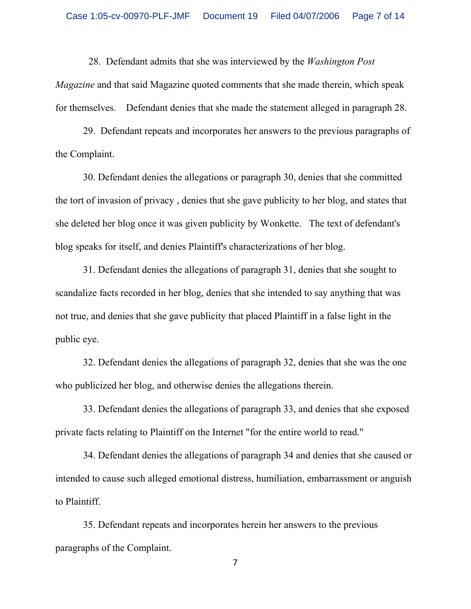28. Defendant admits that she was interviewed by the *Washington Post* 

*Magazine* and that said Magazine quoted comments that she made therein, which speak for themselves. Defendant denies that she made the statement alleged in paragraph 28.

29. Defendant repeats and incorporates her answers to the previous paragraphs of the Complaint.

30. Defendant denies the allegations or paragraph 30, denies that she committed the tort of invasion of privacy , denies that she gave publicity to her blog, and states that she deleted her blog once it was given publicity by Wonkette. The text of defendant's blog speaks for itself, and denies Plaintiff's characterizations of her blog.

31. Defendant denies the allegations of paragraph 31, denies that she sought to scandalize facts recorded in her blog, denies that she intended to say anything that was not true, and denies that she gave publicity that placed Plaintiff in a false light in the public eye.

32. Defendant denies the allegations of paragraph 32, denies that she was the one who publicized her blog, and otherwise denies the allegations therein.

33. Defendant denies the allegations of paragraph 33, and denies that she exposed private facts relating to Plaintiff on the Internet "for the entire world to read."

34. Defendant denies the allegations of paragraph 34 and denies that she caused or intended to cause such alleged emotional distress, humiliation, embarrassment or anguish to Plaintiff.

35. Defendant repeats and incorporates herein her answers to the previous paragraphs of the Complaint.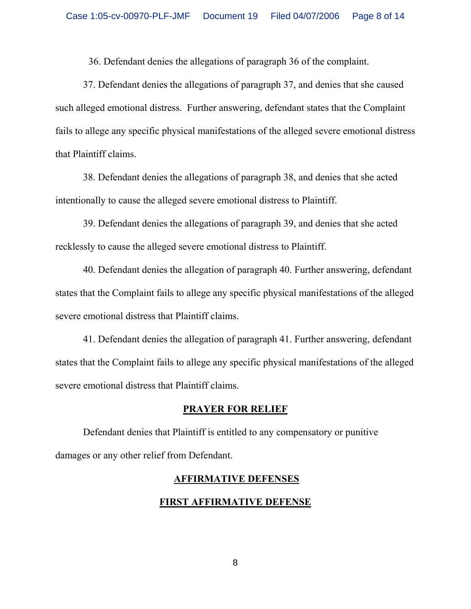36. Defendant denies the allegations of paragraph 36 of the complaint.

37. Defendant denies the allegations of paragraph 37, and denies that she caused such alleged emotional distress. Further answering, defendant states that the Complaint fails to allege any specific physical manifestations of the alleged severe emotional distress that Plaintiff claims.

38. Defendant denies the allegations of paragraph 38, and denies that she acted intentionally to cause the alleged severe emotional distress to Plaintiff.

39. Defendant denies the allegations of paragraph 39, and denies that she acted recklessly to cause the alleged severe emotional distress to Plaintiff.

40. Defendant denies the allegation of paragraph 40. Further answering, defendant states that the Complaint fails to allege any specific physical manifestations of the alleged severe emotional distress that Plaintiff claims.

41. Defendant denies the allegation of paragraph 41. Further answering, defendant states that the Complaint fails to allege any specific physical manifestations of the alleged severe emotional distress that Plaintiff claims.

### **PRAYER FOR RELIEF**

Defendant denies that Plaintiff is entitled to any compensatory or punitive damages or any other relief from Defendant.

### **AFFIRMATIVE DEFENSES**

# **FIRST AFFIRMATIVE DEFENSE**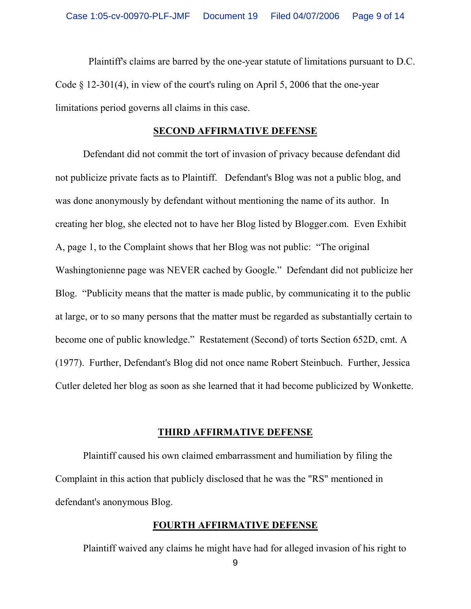Plaintiff's claims are barred by the one-year statute of limitations pursuant to D.C. Code § 12-301(4), in view of the court's ruling on April 5, 2006 that the one-year limitations period governs all claims in this case.

### **SECOND AFFIRMATIVE DEFENSE**

Defendant did not commit the tort of invasion of privacy because defendant did not publicize private facts as to Plaintiff. Defendant's Blog was not a public blog, and was done anonymously by defendant without mentioning the name of its author. In creating her blog, she elected not to have her Blog listed by Blogger.com. Even Exhibit A, page 1, to the Complaint shows that her Blog was not public: "The original Washingtonienne page was NEVER cached by Google." Defendant did not publicize her Blog. "Publicity means that the matter is made public, by communicating it to the public at large, or to so many persons that the matter must be regarded as substantially certain to become one of public knowledge." Restatement (Second) of torts Section 652D, cmt. A (1977). Further, Defendant's Blog did not once name Robert Steinbuch. Further, Jessica Cutler deleted her blog as soon as she learned that it had become publicized by Wonkette.

### **THIRD AFFIRMATIVE DEFENSE**

Plaintiff caused his own claimed embarrassment and humiliation by filing the Complaint in this action that publicly disclosed that he was the "RS" mentioned in defendant's anonymous Blog.

# **FOURTH AFFIRMATIVE DEFENSE**

Plaintiff waived any claims he might have had for alleged invasion of his right to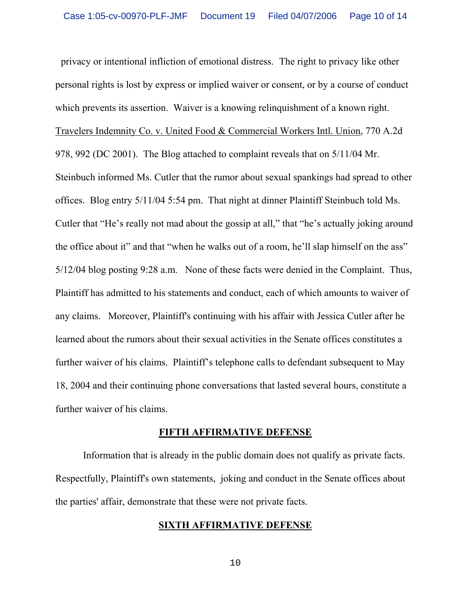privacy or intentional infliction of emotional distress. The right to privacy like other personal rights is lost by express or implied waiver or consent, or by a course of conduct which prevents its assertion. Waiver is a knowing relinquishment of a known right. Travelers Indemnity Co. v. United Food & Commercial Workers Intl. Union, 770 A.2d 978, 992 (DC 2001). The Blog attached to complaint reveals that on 5/11/04 Mr. Steinbuch informed Ms. Cutler that the rumor about sexual spankings had spread to other offices. Blog entry 5/11/04 5:54 pm. That night at dinner Plaintiff Steinbuch told Ms. Cutler that "He's really not mad about the gossip at all," that "he's actually joking around the office about it" and that "when he walks out of a room, he'll slap himself on the ass" 5/12/04 blog posting 9:28 a.m. None of these facts were denied in the Complaint. Thus, Plaintiff has admitted to his statements and conduct, each of which amounts to waiver of any claims. Moreover, Plaintiff's continuing with his affair with Jessica Cutler after he learned about the rumors about their sexual activities in the Senate offices constitutes a further waiver of his claims. Plaintiff's telephone calls to defendant subsequent to May 18, 2004 and their continuing phone conversations that lasted several hours, constitute a further waiver of his claims.

#### **FIFTH AFFIRMATIVE DEFENSE**

Information that is already in the public domain does not qualify as private facts. Respectfully, Plaintiff's own statements, joking and conduct in the Senate offices about the parties' affair, demonstrate that these were not private facts.

### **SIXTH AFFIRMATIVE DEFENSE**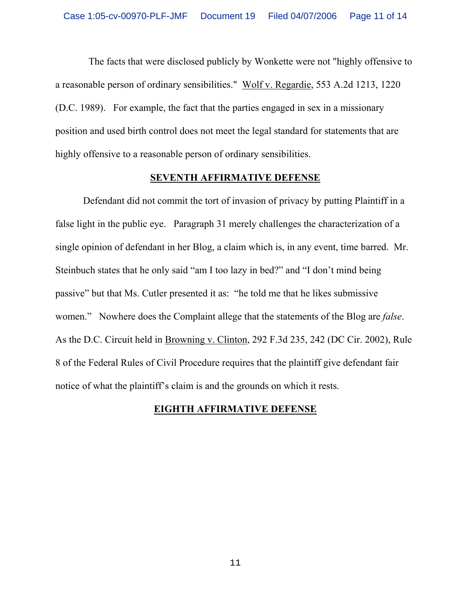The facts that were disclosed publicly by Wonkette were not "highly offensive to a reasonable person of ordinary sensibilities." Wolf v. Regardie, 553 A.2d 1213, 1220 (D.C. 1989). For example, the fact that the parties engaged in sex in a missionary position and used birth control does not meet the legal standard for statements that are highly offensive to a reasonable person of ordinary sensibilities.

### **SEVENTH AFFIRMATIVE DEFENSE**

Defendant did not commit the tort of invasion of privacy by putting Plaintiff in a false light in the public eye. Paragraph 31 merely challenges the characterization of a single opinion of defendant in her Blog, a claim which is, in any event, time barred. Mr. Steinbuch states that he only said "am I too lazy in bed?" and "I don't mind being passive" but that Ms. Cutler presented it as: "he told me that he likes submissive women." Nowhere does the Complaint allege that the statements of the Blog are *false*. As the D.C. Circuit held in Browning v. Clinton, 292 F.3d 235, 242 (DC Cir. 2002), Rule 8 of the Federal Rules of Civil Procedure requires that the plaintiff give defendant fair notice of what the plaintiff's claim is and the grounds on which it rests.

# **EIGHTH AFFIRMATIVE DEFENSE**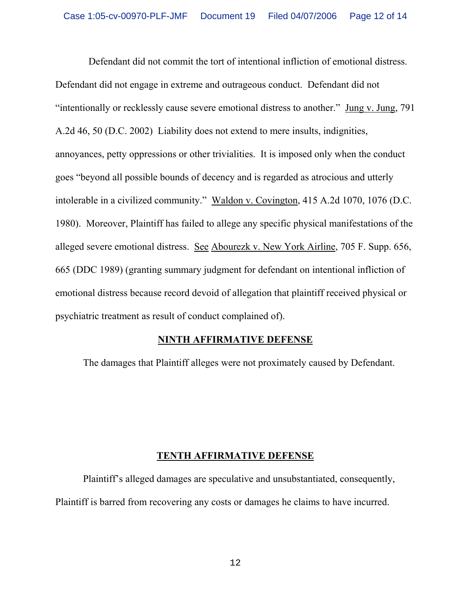Defendant did not commit the tort of intentional infliction of emotional distress. Defendant did not engage in extreme and outrageous conduct. Defendant did not "intentionally or recklessly cause severe emotional distress to another." Jung v. Jung, 791 A.2d 46, 50 (D.C. 2002) Liability does not extend to mere insults, indignities, annoyances, petty oppressions or other trivialities. It is imposed only when the conduct goes "beyond all possible bounds of decency and is regarded as atrocious and utterly intolerable in a civilized community." Waldon v. Covington, 415 A.2d 1070, 1076 (D.C. 1980). Moreover, Plaintiff has failed to allege any specific physical manifestations of the alleged severe emotional distress. See Abourezk v. New York Airline, 705 F. Supp. 656, 665 (DDC 1989) (granting summary judgment for defendant on intentional infliction of emotional distress because record devoid of allegation that plaintiff received physical or psychiatric treatment as result of conduct complained of).

# **NINTH AFFIRMATIVE DEFENSE**

The damages that Plaintiff alleges were not proximately caused by Defendant.

# **TENTH AFFIRMATIVE DEFENSE**

Plaintiff's alleged damages are speculative and unsubstantiated, consequently, Plaintiff is barred from recovering any costs or damages he claims to have incurred.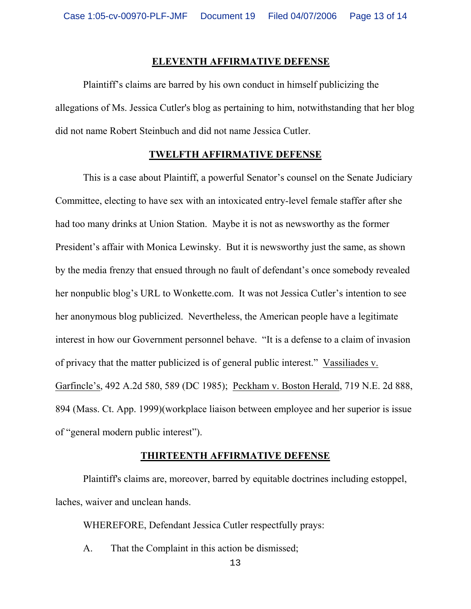#### **ELEVENTH AFFIRMATIVE DEFENSE**

Plaintiff's claims are barred by his own conduct in himself publicizing the allegations of Ms. Jessica Cutler's blog as pertaining to him, notwithstanding that her blog did not name Robert Steinbuch and did not name Jessica Cutler.

#### **TWELFTH AFFIRMATIVE DEFENSE**

This is a case about Plaintiff, a powerful Senator's counsel on the Senate Judiciary Committee, electing to have sex with an intoxicated entry-level female staffer after she had too many drinks at Union Station. Maybe it is not as newsworthy as the former President's affair with Monica Lewinsky. But it is newsworthy just the same, as shown by the media frenzy that ensued through no fault of defendant's once somebody revealed her nonpublic blog's URL to Wonkette.com. It was not Jessica Cutler's intention to see her anonymous blog publicized. Nevertheless, the American people have a legitimate interest in how our Government personnel behave. "It is a defense to a claim of invasion of privacy that the matter publicized is of general public interest." Vassiliades v. Garfincle's, 492 A.2d 580, 589 (DC 1985); Peckham v. Boston Herald, 719 N.E. 2d 888, 894 (Mass. Ct. App. 1999)(workplace liaison between employee and her superior is issue of "general modern public interest").

### **THIRTEENTH AFFIRMATIVE DEFENSE**

Plaintiff's claims are, moreover, barred by equitable doctrines including estoppel, laches, waiver and unclean hands.

WHEREFORE, Defendant Jessica Cutler respectfully prays:

A. That the Complaint in this action be dismissed;